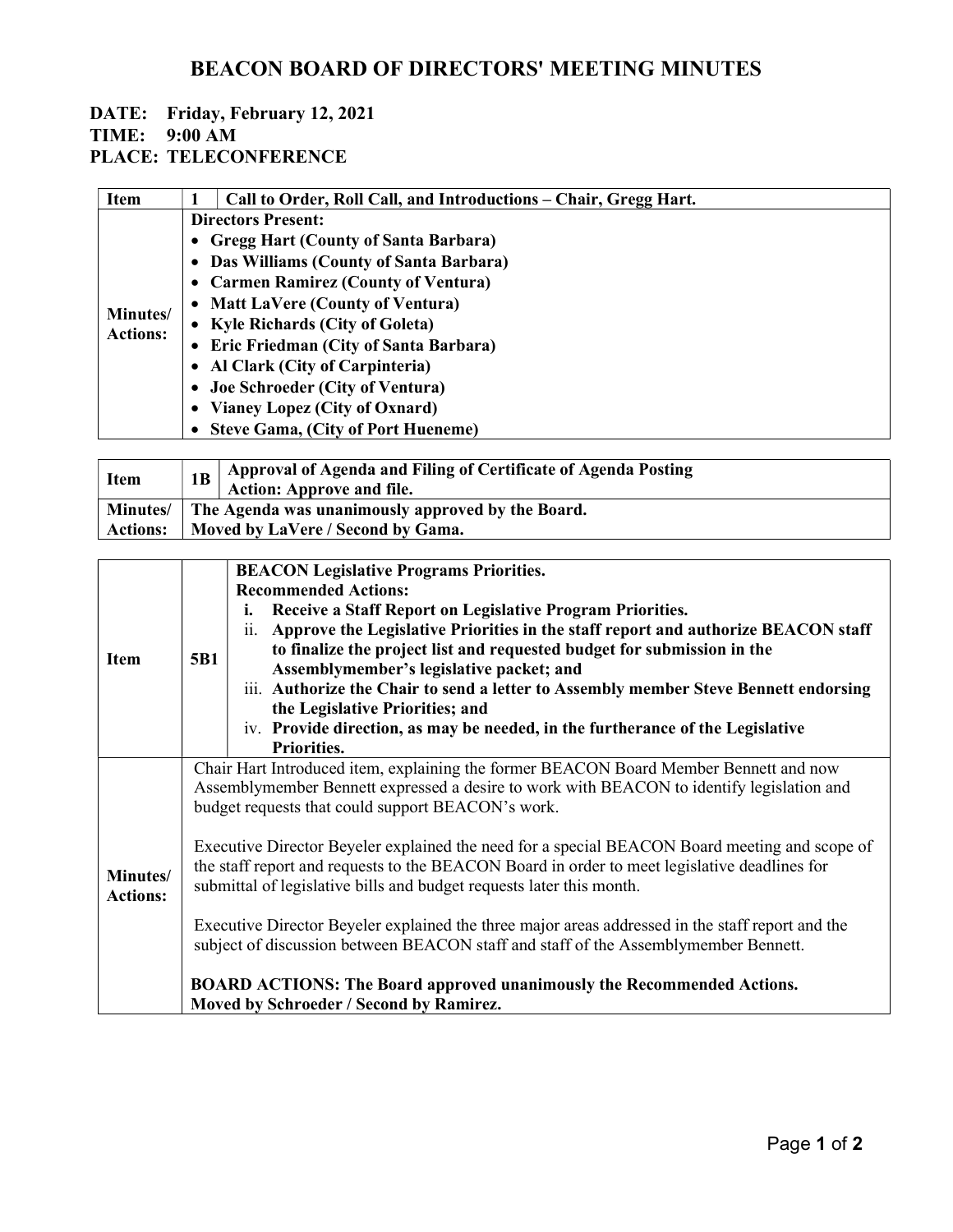# BEACON BOARD OF DIRECTORS' MEETING MINUTES

## DATE: Friday, February 12, 2021

### TIME: 9:00 AM

PLACE: TELECONFERENCE

| <b>Item</b>                 |                           | Call to Order, Roll Call, and Introductions – Chair, Gregg Hart. |  |
|-----------------------------|---------------------------|------------------------------------------------------------------|--|
| Minutes/<br><b>Actions:</b> | <b>Directors Present:</b> |                                                                  |  |
|                             |                           | • Gregg Hart (County of Santa Barbara)                           |  |
|                             |                           | • Das Williams (County of Santa Barbara)                         |  |
|                             |                           | • Carmen Ramirez (County of Ventura)                             |  |
|                             |                           | • Matt LaVere (County of Ventura)                                |  |
|                             |                           | • Kyle Richards (City of Goleta)                                 |  |
|                             |                           | • Eric Friedman (City of Santa Barbara)                          |  |
|                             |                           | • Al Clark (City of Carpinteria)                                 |  |
|                             |                           | • Joe Schroeder (City of Ventura)                                |  |
|                             |                           | • Vianey Lopez (City of Oxnard)                                  |  |
|                             |                           | • Steve Gama, (City of Port Hueneme)                             |  |

| Item            |                                                   | Approval of Agenda and Filing of Certificate of Agenda Posting<br><b>Action: Approve and file.</b> |
|-----------------|---------------------------------------------------|----------------------------------------------------------------------------------------------------|
| Minutes/        | The Agenda was unanimously approved by the Board. |                                                                                                    |
| <b>Actions:</b> | Moved by LaVere / Second by Gama.                 |                                                                                                    |

| <b>Item</b>                 | <b>5B1</b>                                                                                       | <b>BEACON Legislative Programs Priorities.</b>                                           |  |  |  |
|-----------------------------|--------------------------------------------------------------------------------------------------|------------------------------------------------------------------------------------------|--|--|--|
|                             |                                                                                                  | <b>Recommended Actions:</b>                                                              |  |  |  |
|                             |                                                                                                  | Receive a Staff Report on Legislative Program Priorities.<br>i.                          |  |  |  |
|                             |                                                                                                  | ii.<br>Approve the Legislative Priorities in the staff report and authorize BEACON staff |  |  |  |
|                             |                                                                                                  | to finalize the project list and requested budget for submission in the                  |  |  |  |
|                             |                                                                                                  | Assemblymember's legislative packet; and                                                 |  |  |  |
|                             |                                                                                                  | iii. Authorize the Chair to send a letter to Assembly member Steve Bennett endorsing     |  |  |  |
|                             |                                                                                                  | the Legislative Priorities; and                                                          |  |  |  |
|                             |                                                                                                  | iv. Provide direction, as may be needed, in the furtherance of the Legislative           |  |  |  |
|                             |                                                                                                  | <b>Priorities.</b>                                                                       |  |  |  |
|                             | Chair Hart Introduced item, explaining the former BEACON Board Member Bennett and now            |                                                                                          |  |  |  |
| Minutes/<br><b>Actions:</b> | Assemblymember Bennett expressed a desire to work with BEACON to identify legislation and        |                                                                                          |  |  |  |
|                             | budget requests that could support BEACON's work.                                                |                                                                                          |  |  |  |
|                             |                                                                                                  |                                                                                          |  |  |  |
|                             | Executive Director Beyeler explained the need for a special BEACON Board meeting and scope of    |                                                                                          |  |  |  |
|                             | the staff report and requests to the BEACON Board in order to meet legislative deadlines for     |                                                                                          |  |  |  |
|                             | submittal of legislative bills and budget requests later this month.                             |                                                                                          |  |  |  |
|                             | Executive Director Beyeler explained the three major areas addressed in the staff report and the |                                                                                          |  |  |  |
|                             | subject of discussion between BEACON staff and staff of the Assemblymember Bennett.              |                                                                                          |  |  |  |
|                             |                                                                                                  |                                                                                          |  |  |  |
|                             | <b>BOARD ACTIONS: The Board approved unanimously the Recommended Actions.</b>                    |                                                                                          |  |  |  |
|                             | Moved by Schroeder / Second by Ramirez.                                                          |                                                                                          |  |  |  |
|                             |                                                                                                  |                                                                                          |  |  |  |